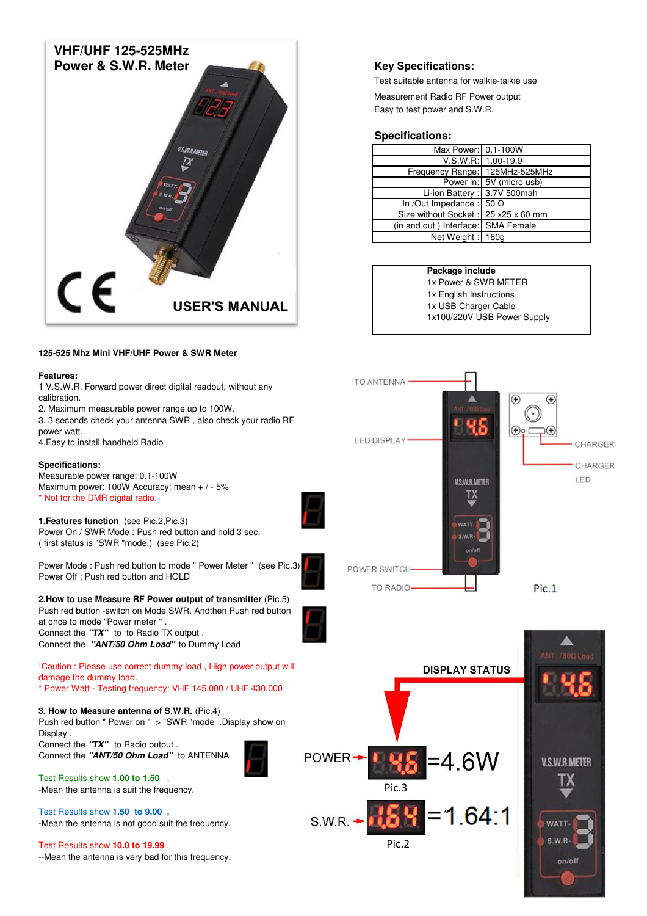

#### **125-525 Mhz Mini VHF/UHF Power & SWR Meter**

#### **Features:**

1 V.S.W.R. Forward power direct digital readout, without any calibration. 2. Maximum measurable power range up to 100W. 3. 3 seconds check your antenna SWR , also check your radio RF power watt.

4.Easy to install handheld Radio

#### **Specifications:**

Measurable power range: 0.1-100W Maximum power: 100W Accuracy: mean + / - 5% \* Not for the DMR digital radio.

**1.Features function** (see Pic.2,Pic.3) Power On / SWR Mode : Push red button and hold 3 sec. ( first status is "SWR "mode,) (see Pic.2)

Power Mode : Push red button to mode " Power Meter " (see Pic.3) Power Off : Push red button and HOLD

**2.How to use Measure RF Power output of transmitter** (Pic.5) Push red button -switch on Mode SWR. Andthen Push red button at once to mode "Power meter" Connect the **"TX"** to to Radio TX output . Connect the **"ANT/50 Ohm Load"** to Dummy Load

!Caution : Please use correct dummy load , High power output will damage the dummy load. \* Power Watt - Testing frequency: VHF 145.000 / UHF 430.000

**3. How to Measure antenna of S.W.R.** (Pic.4) Push red button " Power on " > "SWR "mode . Display show on Display .

Connect the **"TX"** to Radio output . Connect the **"ANT/50 Ohm Load"** to ANTENNA

Test Results show **1.00 to 1.50** , -Mean the antenna is suit the frequency.

Test Results show **1.50 to 9.00 ,** -Mean the antenna is not good suit the frequency.

Test Results show **10.0 to 19.99** ,

--Mean the antenna is very bad for this frequency.

## **Key Specifications:**

Test suitable antenna for walkie-talkie use Measurement Radio RF Power output Easy to test power and S.W.R.

#### **Specifications:**

| Max Power: 0.1-100W                 |
|-------------------------------------|
| V.S.W.R: 1.00-19.9                  |
| Frequency Range: 125MHz-525MHz      |
| Power in: 5V (micro usb)            |
| Li-ion Battery: 3.7V 500mah         |
| In /Out Impedance : $50 \Omega$     |
| Size without Socket: 25 x25 x 60 mm |
| (in and out) Interface: SMA Female  |
| Net Weight: 160g                    |
|                                     |

## **Package include**

1x English Instructions 1x USB Charger Cable 1x100/220V USB Power Supply 1x Power & SWR METER

l, TO ANTENNA ·  $\bigcirc$  $\bigoplus$  $\bigoplus$ o C LED DISPLAY CHARGER CHARGER LED **V.S.W.R.METER** <u>тх</u> WATT POWER SWITCH-TO RADIO-Pic.1